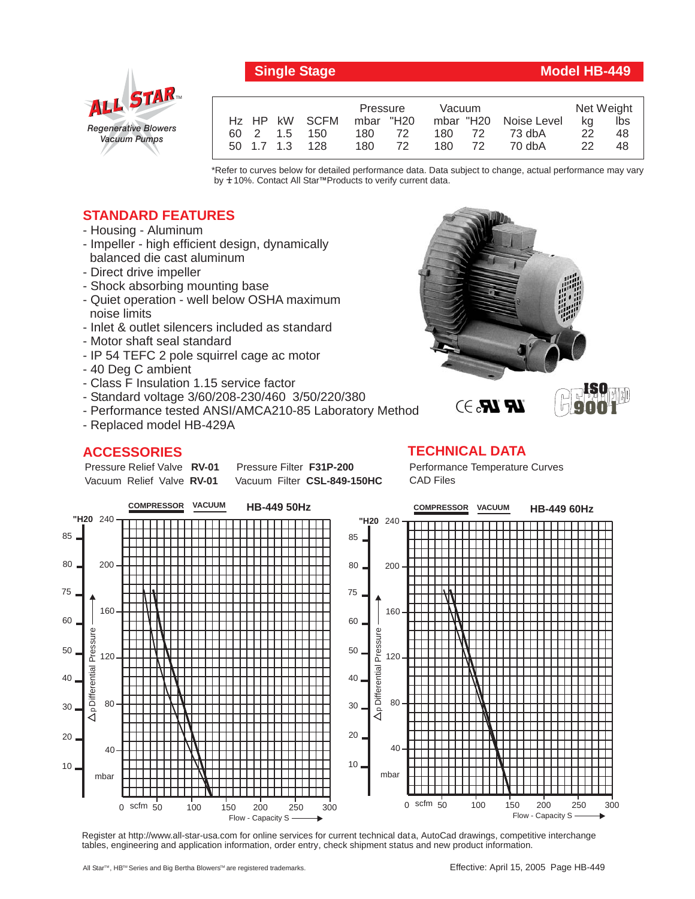

# **Single Stage Model HB-449**

|  |          |                           | Pressure  |     | Vacuum |    |                       | Net Weight |     |
|--|----------|---------------------------|-----------|-----|--------|----|-----------------------|------------|-----|
|  |          | H <sub>z</sub> HP kW SCFM | mbar "H20 |     |        |    | mbar "H20 Noise Level | ka         | lbs |
|  | 60 2 1.5 | 150                       | 180 72    |     | 180 72 |    | 73 dbA                | 22         | 48  |
|  |          | 50 1.7 1.3 128            | 180       | 72. | 180 -  | 72 | 70 dbA                | -22.       | 48  |

\*Refer to curves below for detailed performance data. Data subject to change, actual performance may vary by **+** 10%. Contact All Star™Products to verify current data.

### **STANDARD FEATURES**

- Housing Aluminum
- Impeller high efficient design, dynamically balanced die cast aluminum
- Direct drive impeller
- Shock absorbing mounting base
- Quiet operation well below OSHA maximum noise limits
- Inlet & outlet silencers included as standard
- Motor shaft seal standard
- IP 54 TEFC 2 pole squirrel cage ac motor
- 40 Deg C ambient
- Class F Insulation 1.15 service factor
- Standard voltage 3/60/208-230/460 3/50/220/380
- Performance tested ANSI/AMCA210-85 Laboratory Method
- Replaced model HB-429A

## **ACCESSORIES**

Pressure Relief Valve RV-01 Vacuum Relief Valve RV-01

**Pressure Filter F31P-200** Vacuum Filter CSL-849-150HC

**ISO 9001**

#### **TECHNICAL DATA**

Performance Temperature Curves CAD Files

 $\mathbb{R}$   $\mathbb{R}$ . $\ni$ 



Register at http://www.all-star-usa.com for online services for current technical data, AutoCad drawings, competitive interchange tables, engineering and application information, order entry, check shipment status and new product information.